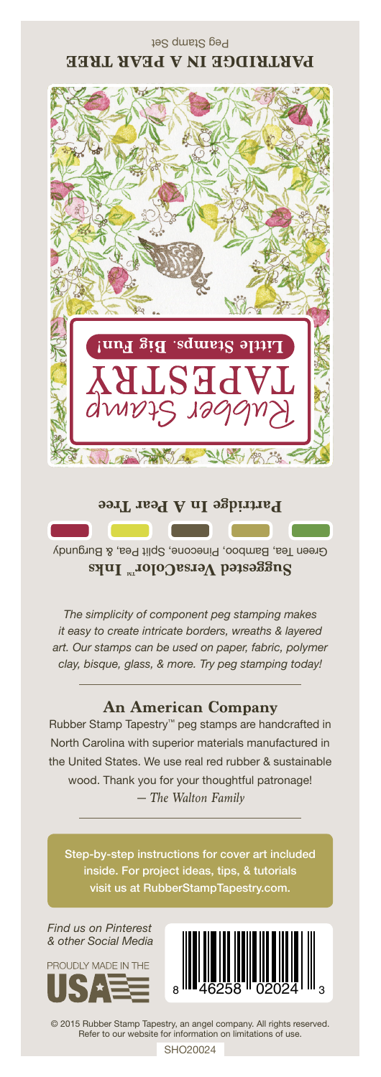

Green Tea, Bamboo, Pinecone, Split Pea, & Burgundy Suggested VersaColor<sup>m</sup> Inks

*The simplicity of component peg stamping makes it easy to create intricate borders, wreaths & layered art. Our stamps can be used on paper, fabric, polymer clay, bisque, glass, & more. Try peg stamping today!*

## **An American Company**

*— The Walton Family* Rubber Stamp Tapestry™ peg stamps are handcrafted in North Carolina with superior materials manufactured in the United States. We use real red rubber & sustainable wood. Thank you for your thoughtful patronage!

Step-by-step instructions for cover art included inside. For project ideas, tips, & tutorials visit us at RubberStampTapestry.com.

*Find us on Pinterest & other Social Media*





© 2015 Rubber Stamp Tapestry, an angel company. All rights reserved. Refer to our website for information on limitations of use.